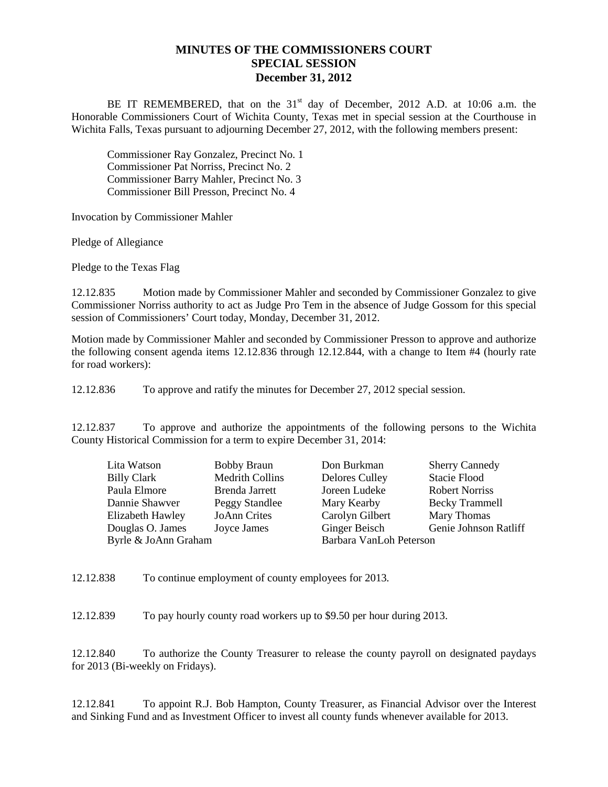## **MINUTES OF THE COMMISSIONERS COURT SPECIAL SESSION December 31, 2012**

BE IT REMEMBERED, that on the 31<sup>st</sup> day of December, 2012 A.D. at 10:06 a.m. the Honorable Commissioners Court of Wichita County, Texas met in special session at the Courthouse in Wichita Falls, Texas pursuant to adjourning December 27, 2012, with the following members present:

Commissioner Ray Gonzalez, Precinct No. 1 Commissioner Pat Norriss, Precinct No. 2 Commissioner Barry Mahler, Precinct No. 3 Commissioner Bill Presson, Precinct No. 4

Invocation by Commissioner Mahler

Pledge of Allegiance

Pledge to the Texas Flag

12.12.835 Motion made by Commissioner Mahler and seconded by Commissioner Gonzalez to give Commissioner Norriss authority to act as Judge Pro Tem in the absence of Judge Gossom for this special session of Commissioners' Court today, Monday, December 31, 2012.

Motion made by Commissioner Mahler and seconded by Commissioner Presson to approve and authorize the following consent agenda items 12.12.836 through 12.12.844, with a change to Item #4 (hourly rate for road workers):

12.12.836 To approve and ratify the minutes for December 27, 2012 special session.

12.12.837 To approve and authorize the appointments of the following persons to the Wichita County Historical Commission for a term to expire December 31, 2014:

|                        |                                            | <b>Sherry Cannedy</b> |
|------------------------|--------------------------------------------|-----------------------|
| <b>Medrith Collins</b> | <b>Delores Culley</b>                      | <b>Stacie Flood</b>   |
| Brenda Jarrett         | Joreen Ludeke                              | <b>Robert Norriss</b> |
| Peggy Standlee         | Mary Kearby                                | <b>Becky Trammell</b> |
| <b>JoAnn Crites</b>    | Carolyn Gilbert                            | Mary Thomas           |
| Joyce James            | Ginger Beisch                              | Genie Johnson Ratliff |
|                        | Barbara VanLoh Peterson                    |                       |
|                        | <b>Bobby Braun</b><br>Byrle & JoAnn Graham | Don Burkman           |

12.12.838 To continue employment of county employees for 2013.

12.12.839 To pay hourly county road workers up to \$9.50 per hour during 2013.

12.12.840 To authorize the County Treasurer to release the county payroll on designated paydays for 2013 (Bi-weekly on Fridays).

12.12.841 To appoint R.J. Bob Hampton, County Treasurer, as Financial Advisor over the Interest and Sinking Fund and as Investment Officer to invest all county funds whenever available for 2013.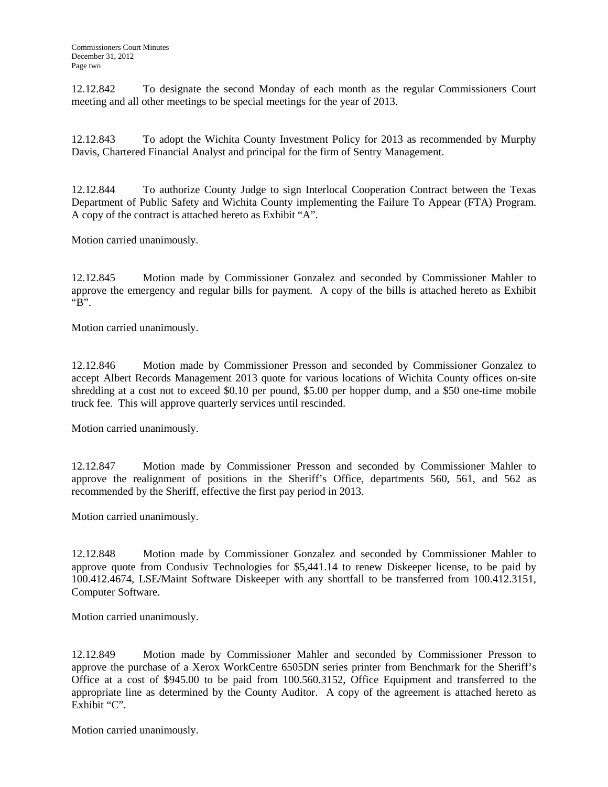12.12.842 To designate the second Monday of each month as the regular Commissioners Court meeting and all other meetings to be special meetings for the year of 2013.

12.12.843 To adopt the Wichita County Investment Policy for 2013 as recommended by Murphy Davis, Chartered Financial Analyst and principal for the firm of Sentry Management.

12.12.844 To authorize County Judge to sign Interlocal Cooperation Contract between the Texas Department of Public Safety and Wichita County implementing the Failure To Appear (FTA) Program. A copy of the contract is attached hereto as Exhibit "A".

Motion carried unanimously.

12.12.845 Motion made by Commissioner Gonzalez and seconded by Commissioner Mahler to approve the emergency and regular bills for payment. A copy of the bills is attached hereto as Exhibit " $B$ ".

Motion carried unanimously.

12.12.846 Motion made by Commissioner Presson and seconded by Commissioner Gonzalez to accept Albert Records Management 2013 quote for various locations of Wichita County offices on-site shredding at a cost not to exceed \$0.10 per pound, \$5.00 per hopper dump, and a \$50 one-time mobile truck fee. This will approve quarterly services until rescinded.

Motion carried unanimously.

12.12.847 Motion made by Commissioner Presson and seconded by Commissioner Mahler to approve the realignment of positions in the Sheriff's Office, departments 560, 561, and 562 as recommended by the Sheriff, effective the first pay period in 2013.

Motion carried unanimously.

12.12.848 Motion made by Commissioner Gonzalez and seconded by Commissioner Mahler to approve quote from Condusiv Technologies for \$5,441.14 to renew Diskeeper license, to be paid by 100.412.4674, LSE/Maint Software Diskeeper with any shortfall to be transferred from 100.412.3151, Computer Software.

Motion carried unanimously.

12.12.849 Motion made by Commissioner Mahler and seconded by Commissioner Presson to approve the purchase of a Xerox WorkCentre 6505DN series printer from Benchmark for the Sheriff's Office at a cost of \$945.00 to be paid from 100.560.3152, Office Equipment and transferred to the appropriate line as determined by the County Auditor. A copy of the agreement is attached hereto as Exhibit "C".

Motion carried unanimously.